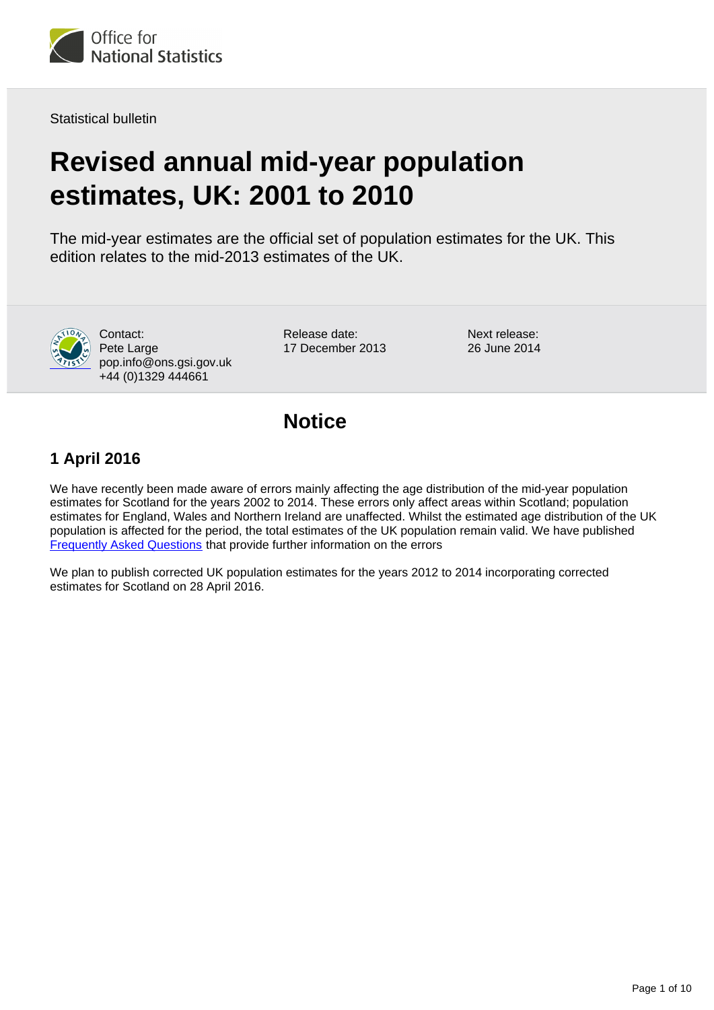

Statistical bulletin

# **Revised annual mid-year population estimates, UK: 2001 to 2010**

The mid-year estimates are the official set of population estimates for the UK. This edition relates to the mid-2013 estimates of the UK.



Release date: 17 December 2013 Next release: 26 June 2014

### **Notice**

### **1 April 2016**

We have recently been made aware of errors mainly affecting the age distribution of the mid-year population estimates for Scotland for the years 2002 to 2014. These errors only affect areas within Scotland; population estimates for England, Wales and Northern Ireland are unaffected. Whilst the estimated age distribution of the UK population is affected for the period, the total estimates of the UK population remain valid. We have published [Frequently Asked Questions](http://webarchive.nationalarchives.gov.uk/20160105160709/http://ons.gov.uk/ons/rel/pop-estimate/population-estimates-for-uk--england-and-wales--scotland-and-northern-ireland/mid-2011-and-mid-2012/pdf.pdf) that provide further information on the errors

We plan to publish corrected UK population estimates for the years 2012 to 2014 incorporating corrected estimates for Scotland on 28 April 2016.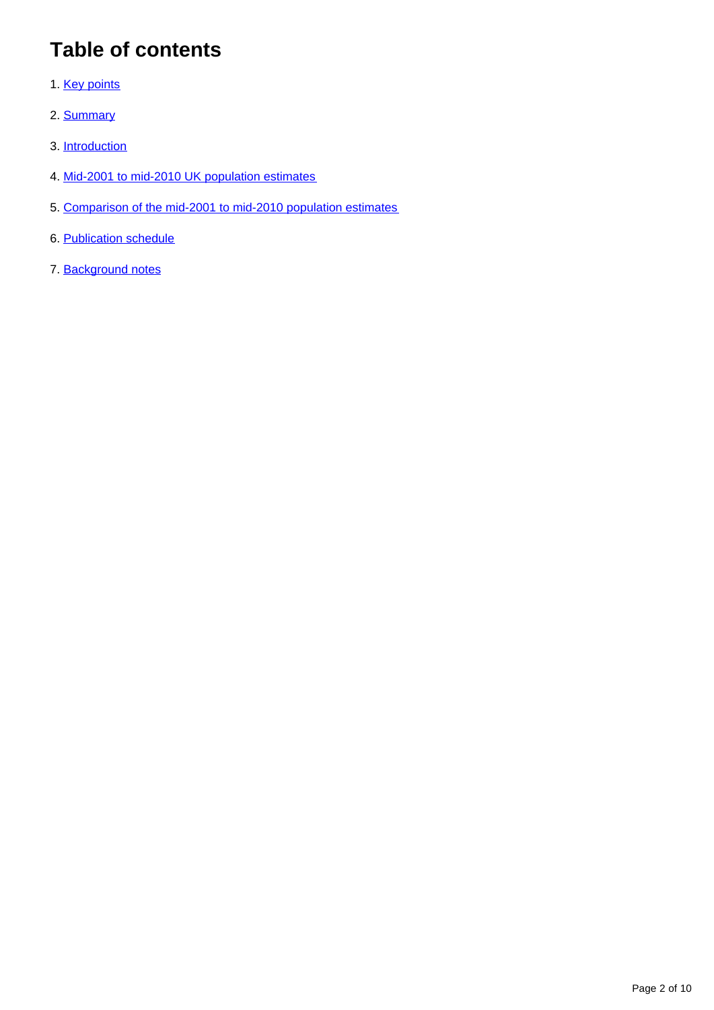## **Table of contents**

- 1. [Key points](#page-2-0)
- 2. [Summary](#page-2-1)
- 3. [Introduction](#page-2-2)
- 4. [Mid-2001 to mid-2010 UK population estimates](#page-3-0)
- 5. [Comparison of the mid-2001 to mid-2010 population estimates](#page-7-0)
- 6. [Publication schedule](#page-8-0)
- 7. Background notes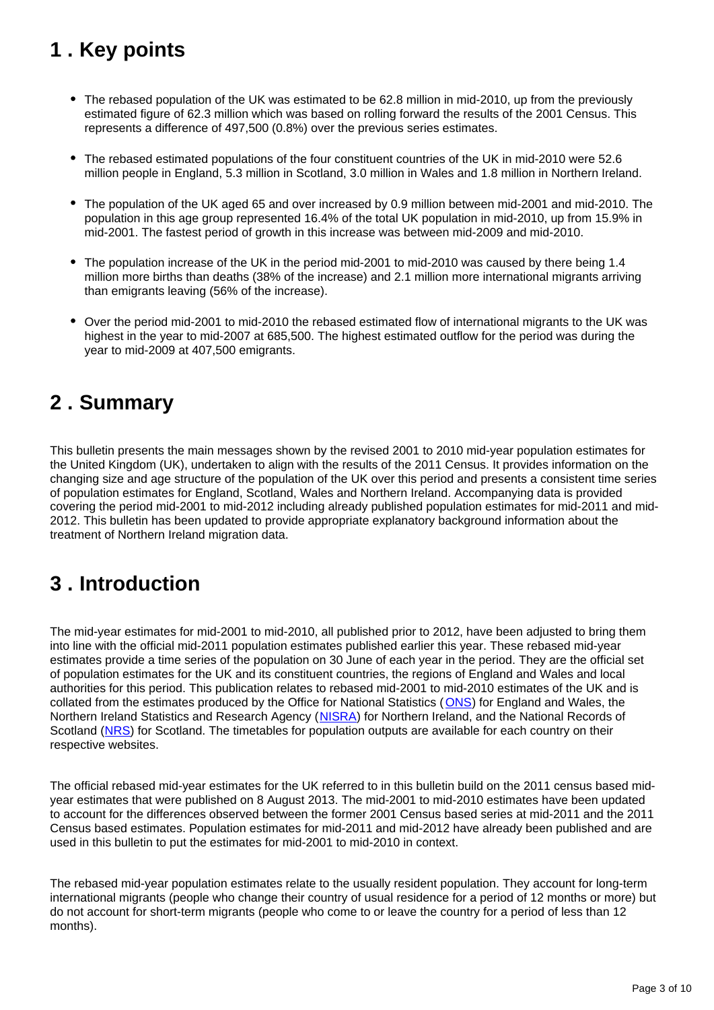## <span id="page-2-0"></span>**1 . Key points**

- The rebased population of the UK was estimated to be 62.8 million in mid-2010, up from the previously estimated figure of 62.3 million which was based on rolling forward the results of the 2001 Census. This represents a difference of 497,500 (0.8%) over the previous series estimates.
- The rebased estimated populations of the four constituent countries of the UK in mid-2010 were 52.6 million people in England, 5.3 million in Scotland, 3.0 million in Wales and 1.8 million in Northern Ireland.
- The population of the UK aged 65 and over increased by 0.9 million between mid-2001 and mid-2010. The population in this age group represented 16.4% of the total UK population in mid-2010, up from 15.9% in mid-2001. The fastest period of growth in this increase was between mid-2009 and mid-2010.
- The population increase of the UK in the period mid-2001 to mid-2010 was caused by there being 1.4 million more births than deaths (38% of the increase) and 2.1 million more international migrants arriving than emigrants leaving (56% of the increase).
- Over the period mid-2001 to mid-2010 the rebased estimated flow of international migrants to the UK was highest in the year to mid-2007 at 685,500. The highest estimated outflow for the period was during the year to mid-2009 at 407,500 emigrants.

### <span id="page-2-1"></span>**2 . Summary**

This bulletin presents the main messages shown by the revised 2001 to 2010 mid-year population estimates for the United Kingdom (UK), undertaken to align with the results of the 2011 Census. It provides information on the changing size and age structure of the population of the UK over this period and presents a consistent time series of population estimates for England, Scotland, Wales and Northern Ireland. Accompanying data is provided covering the period mid-2001 to mid-2012 including already published population estimates for mid-2011 and mid-2012. This bulletin has been updated to provide appropriate explanatory background information about the treatment of Northern Ireland migration data.

### <span id="page-2-2"></span>**3 . Introduction**

The mid-year estimates for mid-2001 to mid-2010, all published prior to 2012, have been adjusted to bring them into line with the official mid-2011 population estimates published earlier this year. These rebased mid-year estimates provide a time series of the population on 30 June of each year in the period. They are the official set of population estimates for the UK and its constituent countries, the regions of England and Wales and local authorities for this period. This publication relates to rebased mid-2001 to mid-2010 estimates of the UK and is collated from the estimates produced by the Office for National Statistics ([ONS\)](http://www.ons.gov.uk/ons/external-links/ons---search-definition-results/population-theme.html) for England and Wales, the Northern Ireland Statistics and Research Agency ([NISRA\)](http://www.ons.gov.uk/ons/external-links/devolved-admins/nisra/nisra---population-estimates.html) for Northern Ireland, and the National Records of Scotland [\(NRS\)](http://www.ons.gov.uk/ons/external-links/devolved-admins/scottish-government/scottish-government---mid-year-population-estimates.html) for Scotland. The timetables for population outputs are available for each country on their respective websites.

The official rebased mid-year estimates for the UK referred to in this bulletin build on the 2011 census based midyear estimates that were published on 8 August 2013. The mid-2001 to mid-2010 estimates have been updated to account for the differences observed between the former 2001 Census based series at mid-2011 and the 2011 Census based estimates. Population estimates for mid-2011 and mid-2012 have already been published and are used in this bulletin to put the estimates for mid-2001 to mid-2010 in context.

The rebased mid-year population estimates relate to the usually resident population. They account for long-term international migrants (people who change their country of usual residence for a period of 12 months or more) but do not account for short-term migrants (people who come to or leave the country for a period of less than 12 months).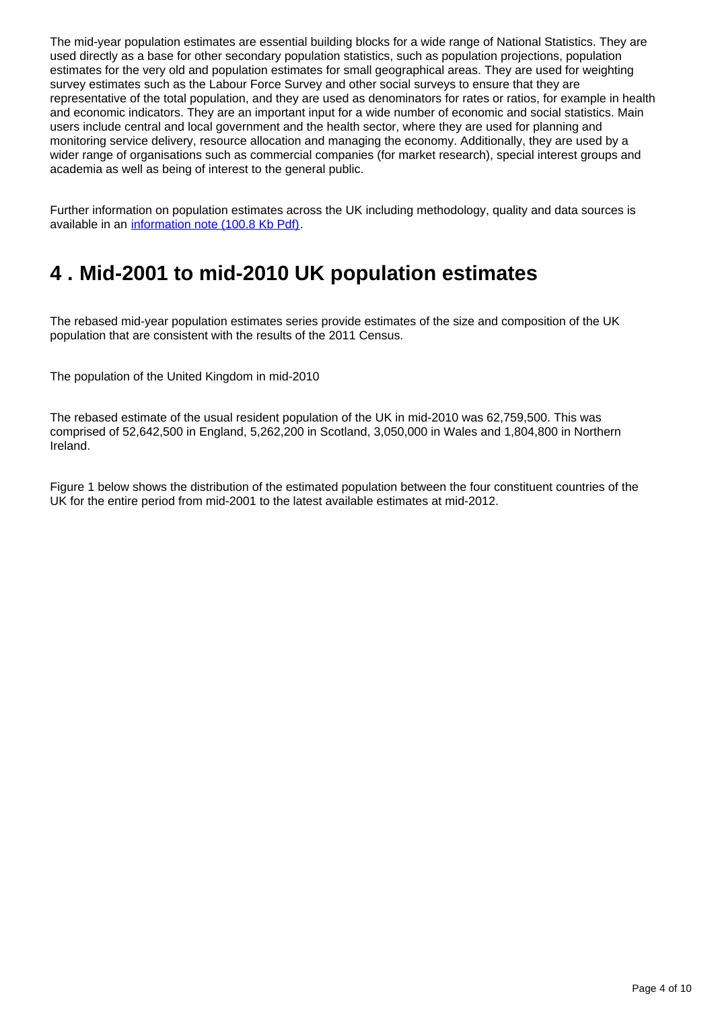The mid-year population estimates are essential building blocks for a wide range of National Statistics. They are used directly as a base for other secondary population statistics, such as population projections, population estimates for the very old and population estimates for small geographical areas. They are used for weighting survey estimates such as the Labour Force Survey and other social surveys to ensure that they are representative of the total population, and they are used as denominators for rates or ratios, for example in health and economic indicators. They are an important input for a wide number of economic and social statistics. Main users include central and local government and the health sector, where they are used for planning and monitoring service delivery, resource allocation and managing the economy. Additionally, they are used by a wider range of organisations such as commercial companies (for market research), special interest groups and academia as well as being of interest to the general public.

Further information on population estimates across the UK including methodology, quality and data sources is available in an [information note \(100.8 Kb Pdf\)](http://www.ons.gov.uk/ons/guide-method/method-quality/specific/population-and-migration/pop-ests/population-estimates-for-las/a-comparison-of-data-sources-and-methods.pdf).

### <span id="page-3-0"></span>**4 . Mid-2001 to mid-2010 UK population estimates**

The rebased mid-year population estimates series provide estimates of the size and composition of the UK population that are consistent with the results of the 2011 Census.

The population of the United Kingdom in mid-2010

The rebased estimate of the usual resident population of the UK in mid-2010 was 62,759,500. This was comprised of 52,642,500 in England, 5,262,200 in Scotland, 3,050,000 in Wales and 1,804,800 in Northern Ireland.

Figure 1 below shows the distribution of the estimated population between the four constituent countries of the UK for the entire period from mid-2001 to the latest available estimates at mid-2012.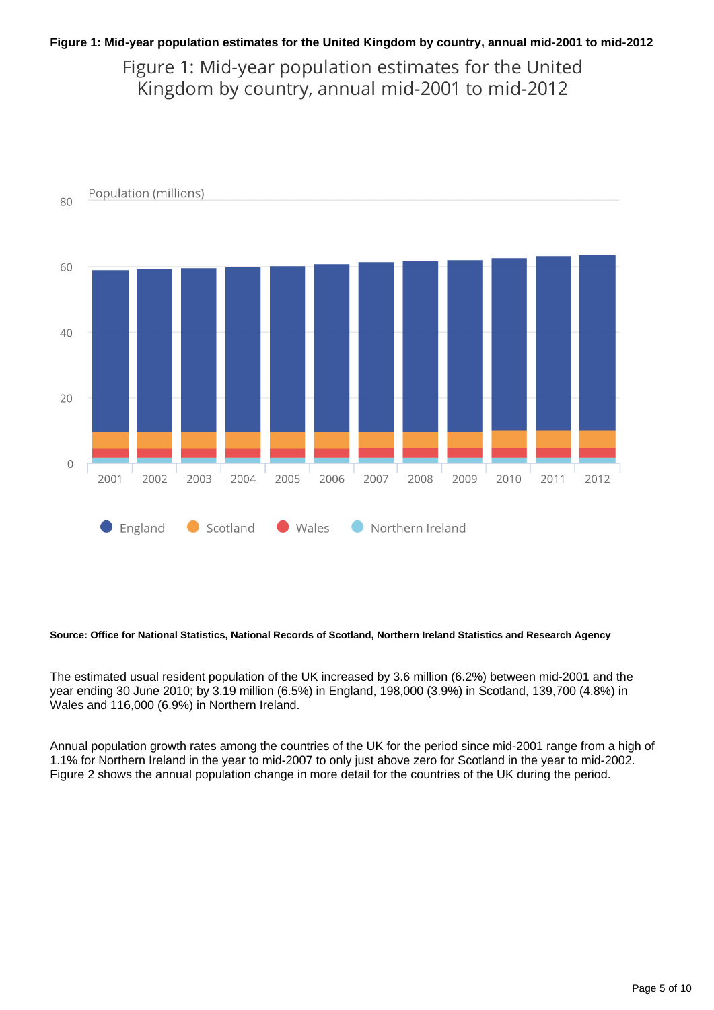#### **Figure 1: Mid-year population estimates for the United Kingdom by country, annual mid-2001 to mid-2012**

Figure 1: Mid-year population estimates for the United Kingdom by country, annual mid-2001 to mid-2012



#### **Source: Office for National Statistics, National Records of Scotland, Northern Ireland Statistics and Research Agency**

The estimated usual resident population of the UK increased by 3.6 million (6.2%) between mid-2001 and the year ending 30 June 2010; by 3.19 million (6.5%) in England, 198,000 (3.9%) in Scotland, 139,700 (4.8%) in Wales and 116,000 (6.9%) in Northern Ireland.

Annual population growth rates among the countries of the UK for the period since mid-2001 range from a high of 1.1% for Northern Ireland in the year to mid-2007 to only just above zero for Scotland in the year to mid-2002. Figure 2 shows the annual population change in more detail for the countries of the UK during the period.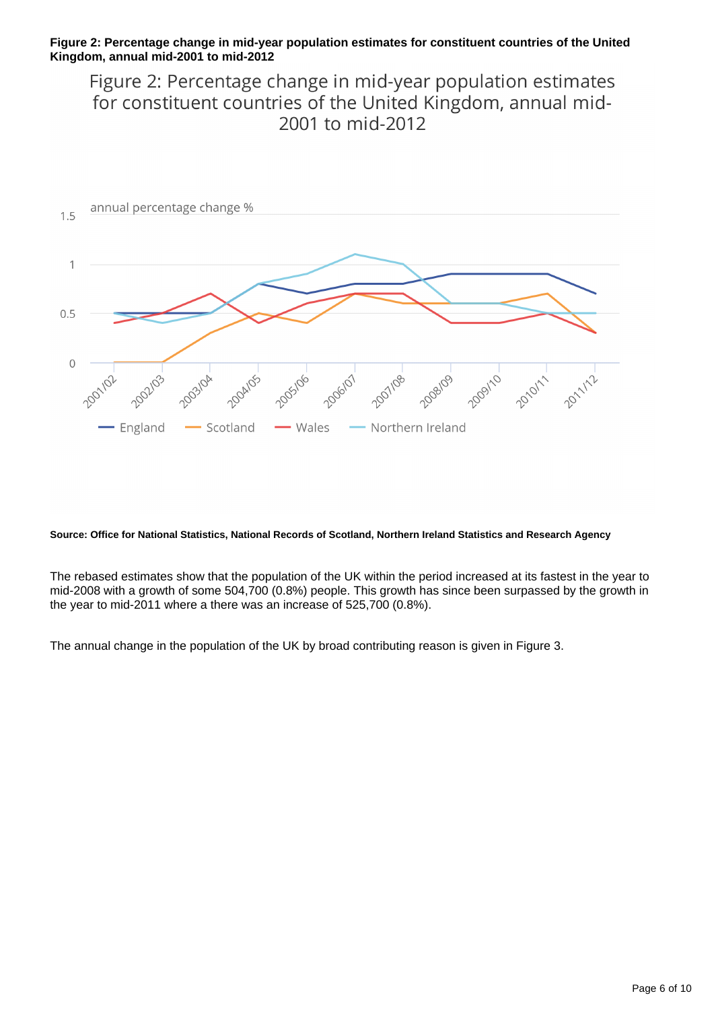#### **Figure 2: Percentage change in mid-year population estimates for constituent countries of the United Kingdom, annual mid-2001 to mid-2012**

Figure 2: Percentage change in mid-year population estimates for constituent countries of the United Kingdom, annual mid-2001 to mid-2012



#### **Source: Office for National Statistics, National Records of Scotland, Northern Ireland Statistics and Research Agency**

The rebased estimates show that the population of the UK within the period increased at its fastest in the year to mid-2008 with a growth of some 504,700 (0.8%) people. This growth has since been surpassed by the growth in the year to mid-2011 where a there was an increase of 525,700 (0.8%).

The annual change in the population of the UK by broad contributing reason is given in Figure 3.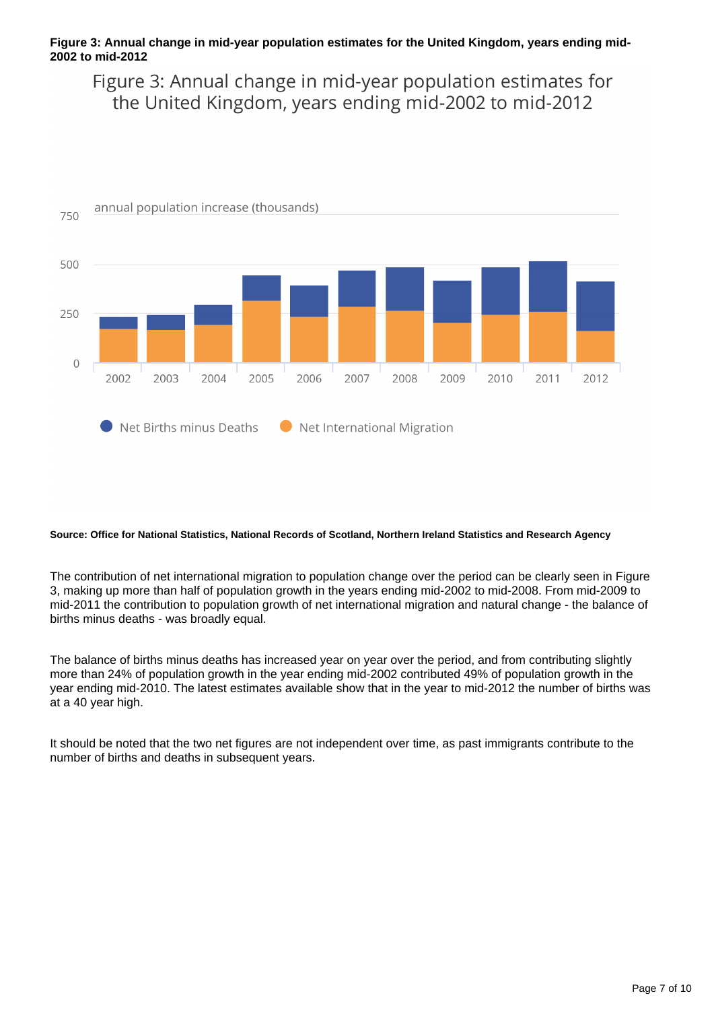#### **Figure 3: Annual change in mid-year population estimates for the United Kingdom, years ending mid-2002 to mid-2012**

Figure 3: Annual change in mid-year population estimates for the United Kingdom, years ending mid-2002 to mid-2012



#### **Source: Office for National Statistics, National Records of Scotland, Northern Ireland Statistics and Research Agency**

The contribution of net international migration to population change over the period can be clearly seen in Figure 3, making up more than half of population growth in the years ending mid-2002 to mid-2008. From mid-2009 to mid-2011 the contribution to population growth of net international migration and natural change - the balance of births minus deaths - was broadly equal.

The balance of births minus deaths has increased year on year over the period, and from contributing slightly more than 24% of population growth in the year ending mid-2002 contributed 49% of population growth in the year ending mid-2010. The latest estimates available show that in the year to mid-2012 the number of births was at a 40 year high.

It should be noted that the two net figures are not independent over time, as past immigrants contribute to the number of births and deaths in subsequent years.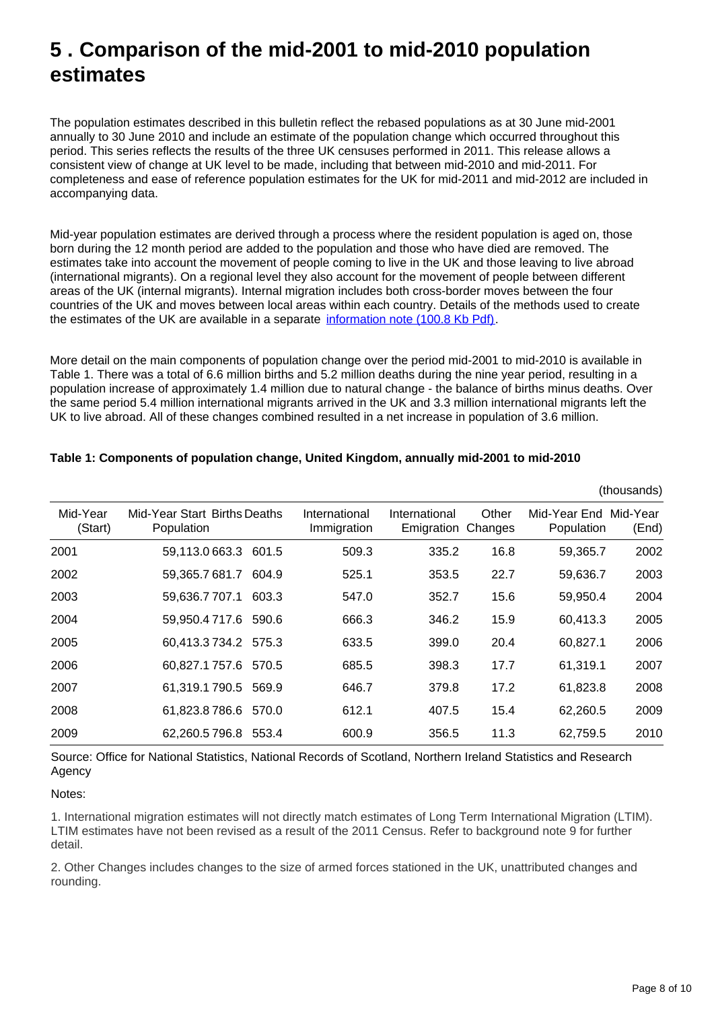### <span id="page-7-0"></span>**5 . Comparison of the mid-2001 to mid-2010 population estimates**

The population estimates described in this bulletin reflect the rebased populations as at 30 June mid-2001 annually to 30 June 2010 and include an estimate of the population change which occurred throughout this period. This series reflects the results of the three UK censuses performed in 2011. This release allows a consistent view of change at UK level to be made, including that between mid-2010 and mid-2011. For completeness and ease of reference population estimates for the UK for mid-2011 and mid-2012 are included in accompanying data.

Mid-year population estimates are derived through a process where the resident population is aged on, those born during the 12 month period are added to the population and those who have died are removed. The estimates take into account the movement of people coming to live in the UK and those leaving to live abroad (international migrants). On a regional level they also account for the movement of people between different areas of the UK (internal migrants). Internal migration includes both cross-border moves between the four countries of the UK and moves between local areas within each country. Details of the methods used to create the estimates of the UK are available in a separate [information note \(100.8 Kb Pdf\)](http://www.ons.gov.uk/ons/guide-method/method-quality/specific/population-and-migration/pop-ests/population-estimates-for-las/a-comparison-of-data-sources-and-methods.pdf).

More detail on the main components of population change over the period mid-2001 to mid-2010 is available in Table 1. There was a total of 6.6 million births and 5.2 million deaths during the nine year period, resulting in a population increase of approximately 1.4 million due to natural change - the balance of births minus deaths. Over the same period 5.4 million international migrants arrived in the UK and 3.3 million international migrants left the UK to live abroad. All of these changes combined resulted in a net increase in population of 3.6 million.

|                     |                                            |                              |                             |                  |                                     | (UIUUSAIIUS) |
|---------------------|--------------------------------------------|------------------------------|-----------------------------|------------------|-------------------------------------|--------------|
| Mid-Year<br>(Start) | Mid-Year Start Births Deaths<br>Population | International<br>Immigration | International<br>Emigration | Other<br>Changes | Mid-Year End Mid-Year<br>Population | (End)        |
| 2001                | 59,113.0663.3 601.5                        | 509.3                        | 335.2                       | 16.8             | 59,365.7                            | 2002         |
| 2002                | 59,365.7681.7<br>604.9                     | 525.1                        | 353.5                       | 22.7             | 59,636.7                            | 2003         |
| 2003                | 59,636.7707.1<br>603.3                     | 547.0                        | 352.7                       | 15.6             | 59,950.4                            | 2004         |
| 2004                | 59,950.4717.6 590.6                        | 666.3                        | 346.2                       | 15.9             | 60,413.3                            | 2005         |
| 2005                | 60,413.3734.2 575.3                        | 633.5                        | 399.0                       | 20.4             | 60,827.1                            | 2006         |
| 2006                | 60,827.1757.6 570.5                        | 685.5                        | 398.3                       | 17.7             | 61,319.1                            | 2007         |
| 2007                | 61,319.1790.5 569.9                        | 646.7                        | 379.8                       | 17.2             | 61,823.8                            | 2008         |
| 2008                | 61,823.8786.6<br>570.0                     | 612.1                        | 407.5                       | 15.4             | 62,260.5                            | 2009         |
| 2009                | 62,260.5796.8 553.4                        | 600.9                        | 356.5                       | 11.3             | 62,759.5                            | 2010         |

#### **Table 1: Components of population change, United Kingdom, annually mid-2001 to mid-2010**

Source: Office for National Statistics, National Records of Scotland, Northern Ireland Statistics and Research Agency

#### Notes:

1. International migration estimates will not directly match estimates of Long Term International Migration (LTIM). LTIM estimates have not been revised as a result of the 2011 Census. Refer to background note 9 for further detail.

2. Other Changes includes changes to the size of armed forces stationed in the UK, unattributed changes and rounding.

(thousands)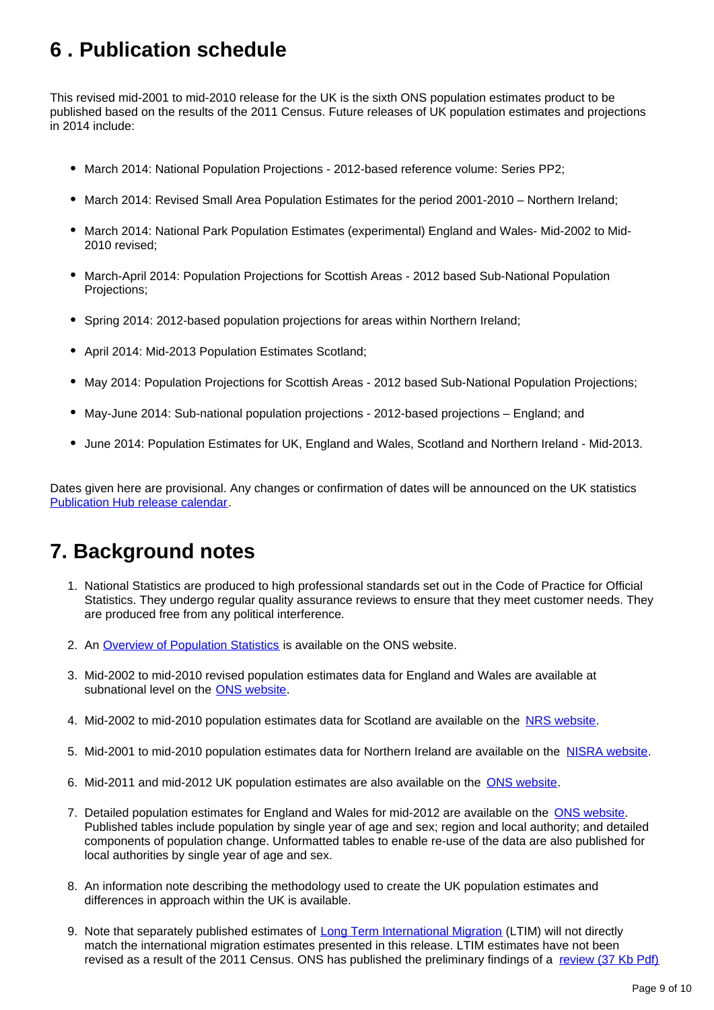### <span id="page-8-0"></span>**6 . Publication schedule**

This revised mid-2001 to mid-2010 release for the UK is the sixth ONS population estimates product to be published based on the results of the 2011 Census. Future releases of UK population estimates and projections in 2014 include:

- March 2014: National Population Projections 2012-based reference volume: Series PP2;
- March 2014: Revised Small Area Population Estimates for the period 2001-2010 Northern Ireland;
- March 2014: National Park Population Estimates (experimental) England and Wales- Mid-2002 to Mid-2010 revised;
- March-April 2014: Population Projections for Scottish Areas 2012 based Sub-National Population Projections;
- Spring 2014: 2012-based population projections for areas within Northern Ireland;
- April 2014: Mid-2013 Population Estimates Scotland;
- May 2014: Population Projections for Scottish Areas 2012 based Sub-National Population Projections;
- May-June 2014: Sub-national population projections 2012-based projections England; and
- June 2014: Population Estimates for UK, England and Wales, Scotland and Northern Ireland Mid-2013.

Dates given here are provisional. Any changes or confirmation of dates will be announced on the UK statistics [Publication Hub release calendar](http://www.ons.gov.uk/ons/external-links/stats-authority/publication-hub-release-calendar.html).

### **7. Background notes**

- 1. National Statistics are produced to high professional standards set out in the Code of Practice for Official Statistics. They undergo regular quality assurance reviews to ensure that they meet customer needs. They are produced free from any political interference.
- 2. An **[Overview of Population Statistics](http://www.ons.gov.uk/ons/guide-method/method-quality/specific/population-and-migration/an-overview-of-ons-s-population-statistics/index.html)** is available on the ONS website.
- 3. Mid-2002 to mid-2010 revised population estimates data for England and Wales are available at subnational level on the [ONS website](http://www.ons.gov.uk/ons/rel/pop-estimate/population-estimates-for-england-and-wales/mid-2002-to-mid-2010-revised--subnational-/stb---mid-2002-to-mid-2010-subnational-population-estimates-revised.html).
- 4. Mid-2002 to mid-2010 population estimates data for Scotland are available on the [NRS website](http://www.ons.gov.uk/ons/external-links/devolved-admins/scottish-government/scottish-government---mid-year-population-estimates.html).
- 5. Mid-2001 to mid-2010 population estimates data for Northern Ireland are available on the [NISRA website](http://www.ons.gov.uk/ons/external-links/devolved-admins/nisra/nisra---population-estimates.html).
- 6. Mid-2011 and mid-2012 UK population estimates are also available on the **ONS website**.
- 7. Detailed population estimates for England and Wales for mid-2012 are available on the **[ONS website](http://www.ons.gov.uk/ons/rel/pop-estimate/population-estimates-for-england-and-wales/mid-2012/index.html)**. Published tables include population by single year of age and sex; region and local authority; and detailed components of population change. Unformatted tables to enable re-use of the data are also published for local authorities by single year of age and sex.
- 8. An information note describing the methodology used to create the UK population estimates and differences in approach within the UK is available.
- 9. Note that separately published estimates of [Long Term International Migration](http://www.ons.gov.uk/ons/external-links/ons---search-definition-results/international-migration.html) (LTIM) will not directly match the international migration estimates presented in this release. LTIM estimates have not been revised as a result of the 2011 Census. ONS has published the preliminary findings of a [review \(37 Kb Pdf\)](http://www.ons.gov.uk/ons/guide-method/method-quality/specific/population-and-migration/international-migration-methodology/quality-of-long-term-international-migration-estimates-from-2001-to-2011.pdf)